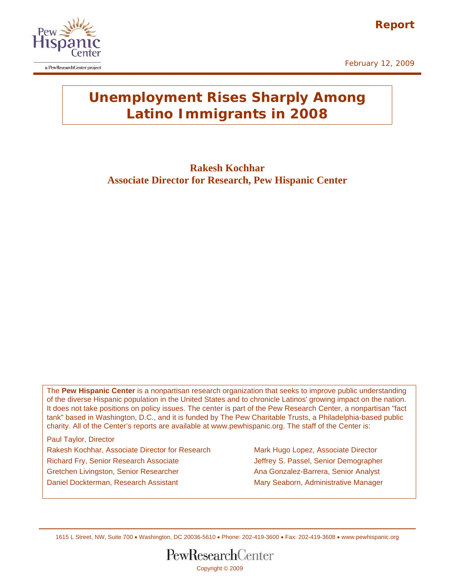

February 12, 2009



# **Unemployment Rises Sharply Among Latino Immigrants in 2008**

**Rakesh Kochhar Associate Director for Research, Pew Hispanic Center** 

The **Pew Hispanic Center** is a nonpartisan research organization that seeks to improve public understanding of the diverse Hispanic population in the United States and to chronicle Latinos' growing impact on the nation. It does not take positions on policy issues. The center is part of the Pew Research Center, a nonpartisan "fact tank" based in Washington, D.C., and it is funded by The Pew Charitable Trusts, a Philadelphia-based public charity. All of the Center's reports are available at www.pewhispanic.org. The staff of the Center is:

Paul Taylor, Director Rakesh Kochhar, Associate Director for Research Mark Hugo Lopez, Associate Director Richard Fry, Senior Research Associate **Jeffrey S. Passel, Senior Demographer** Gretchen Livingston, Senior Researcher Anames Ana Gonzalez-Barrera, Senior Analyst Daniel Dockterman, Research Assistant Mary Seaborn, Administrative Manager

1615 L Street, NW, Suite 700 • Washington, DC 20036-5610 • Phone: 202-419-3600 • Fax: 202-419-3608 • www.pewhispanic.org

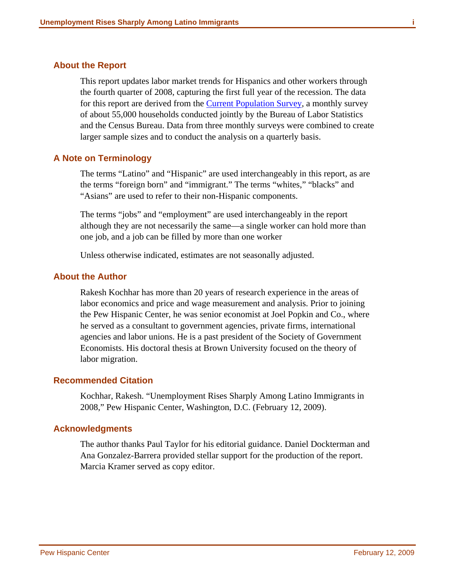### <span id="page-1-0"></span>**About the Report**

This report updates labor market trends for Hispanics and other workers through the fourth quarter of 2008, capturing the first full year of the recession. The data for this report are derived from the [Current Population Survey](http://www.census.gov/cps/), a monthly survey of about 55,000 households conducted jointly by the Bureau of Labor Statistics and the Census Bureau. Data from three monthly surveys were combined to create larger sample sizes and to conduct the analysis on a quarterly basis.

### **A Note on Terminology**

The terms "Latino" and "Hispanic" are used interchangeably in this report, as are the terms "foreign born" and "immigrant." The terms "whites," "blacks" and "Asians" are used to refer to their non-Hispanic components.

The terms "jobs" and "employment" are used interchangeably in the report although they are not necessarily the same—a single worker can hold more than one job, and a job can be filled by more than one worker

Unless otherwise indicated, estimates are not seasonally adjusted.

#### **About the Author**

Rakesh Kochhar has more than 20 years of research experience in the areas of labor economics and price and wage measurement and analysis. Prior to joining the Pew Hispanic Center, he was senior economist at Joel Popkin and Co., where he served as a consultant to government agencies, private firms, international agencies and labor unions. He is a past president of the Society of Government Economists. His doctoral thesis at Brown University focused on the theory of labor migration.

### **Recommended Citation**

Kochhar, Rakesh. "Unemployment Rises Sharply Among Latino Immigrants in 2008," Pew Hispanic Center, Washington, D.C. (February 12, 2009).

### **Acknowledgments**

The author thanks Paul Taylor for his editorial guidance. Daniel Dockterman and Ana Gonzalez-Barrera provided stellar support for the production of the report. Marcia Kramer served as copy editor.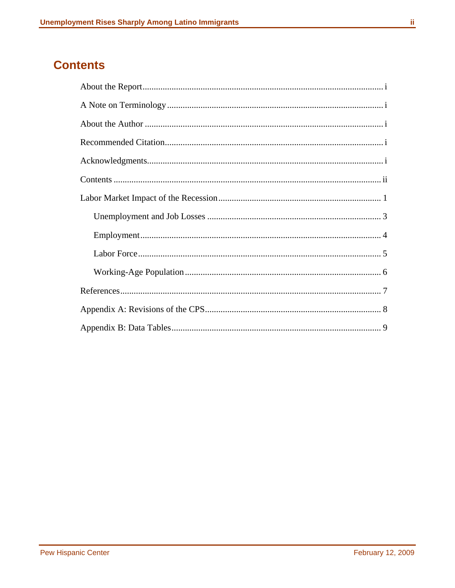# <span id="page-2-0"></span>**Contents**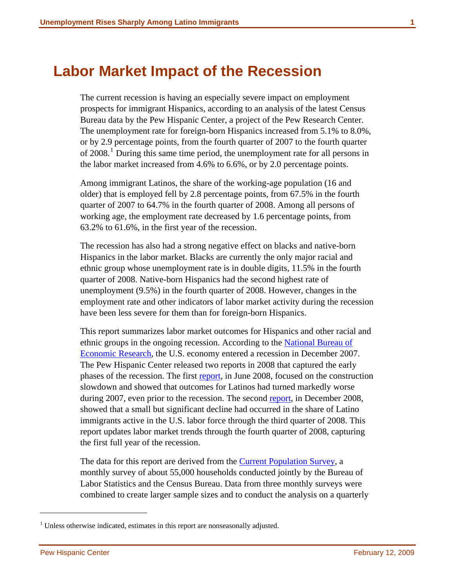# <span id="page-3-0"></span>**Labor Market Impact of the Recession**

The current recession is having an especially severe impact on employment prospects for immigrant Hispanics, according to an analysis of the latest Census Bureau data by the Pew Hispanic Center, a project of the Pew Research Center. The unemployment rate for foreign-born Hispanics increased from 5.1% to 8.0%, or by 2.9 percentage points, from the fourth quarter of 2007 to the fourth quarter of 2008.<sup>[1](#page-3-1)</sup> During this same time period, the unemployment rate for all persons in the labor market increased from 4.6% to 6.6%, or by 2.0 percentage points.

Among immigrant Latinos, the share of the working-age population (16 and older) that is employed fell by 2.8 percentage points, from 67.5% in the fourth quarter of 2007 to 64.7% in the fourth quarter of 2008. Among all persons of working age, the employment rate decreased by 1.6 percentage points, from 63.2% to 61.6%, in the first year of the recession.

The recession has also had a strong negative effect on blacks and native-born Hispanics in the labor market. Blacks are currently the only major racial and ethnic group whose unemployment rate is in double digits, 11.5% in the fourth quarter of 2008. Native-born Hispanics had the second highest rate of unemployment (9.5%) in the fourth quarter of 2008. However, changes in the employment rate and other indicators of labor market activity during the recession have been less severe for them than for foreign-born Hispanics.

This report summarizes labor market outcomes for Hispanics and other racial and ethnic groups in the ongoing recession. According to the National Bureau of [Economic Research,](http://www.nber.org/) the U.S. economy entered a recession in December 2007. The Pew Hispanic Center released two reports in 2008 that captured the early phases of the recession. The first [report,](http://pewhispanic.org/reports/report.php?ReportID=88) in June 2008, focused on the construction slowdown and showed that outcomes for Latinos had turned markedly worse during 2007, even prior to the recession. The second [report,](http://pewhispanic.org/reports/report.php?ReportID=99) in December 2008, showed that a small but significant decline had occurred in the share of Latino immigrants active in the U.S. labor force through the third quarter of 2008. This report updates labor market trends through the fourth quarter of 2008, capturing the first full year of the recession.

The data for this report are derived from the [Current Population Survey,](http://www.census.gov/cps/) a monthly survey of about 55,000 households conducted jointly by the Bureau of Labor Statistics and the Census Bureau. Data from three monthly surveys were combined to create larger sample sizes and to conduct the analysis on a quarterly

l

<span id="page-3-1"></span><sup>&</sup>lt;sup>1</sup> Unless otherwise indicated, estimates in this report are nonseasonally adjusted.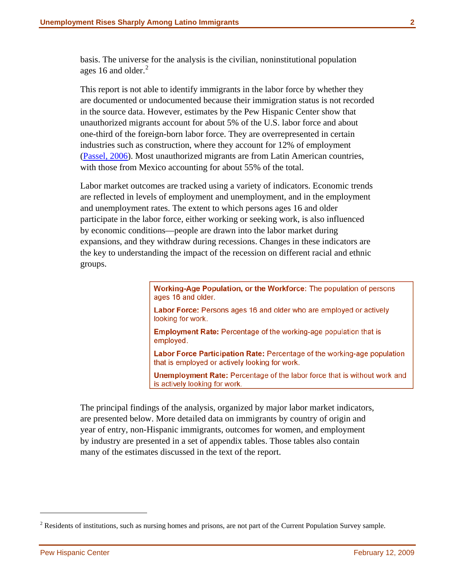basis. The universe for the analysis is the civilian, noninstitutional population ages 16 and older. $^{2}$  $^{2}$  $^{2}$ 

This report is not able to identify immigrants in the labor force by whether they are documented or undocumented because their immigration status is not recorded in the source data. However, estimates by the Pew Hispanic Center show that unauthorized migrants account for about 5% of the U.S. labor force and about one-third of the foreign-born labor force. They are overrepresented in certain industries such as construction, where they account for 12% of employment ([Passel, 2006](http://pewhispanic.org/reports/report.php?ReportID=61)). Most unauthorized migrants are from Latin American countries, with those from Mexico accounting for about 55% of the total.

Labor market outcomes are tracked using a variety of indicators. Economic trends are reflected in levels of employment and unemployment, and in the employment and unemployment rates. The extent to which persons ages 16 and older participate in the labor force, either working or seeking work, is also influenced by economic conditions—people are drawn into the labor market during expansions, and they withdraw during recessions. Changes in these indicators are the key to understanding the impact of the recession on different racial and ethnic groups.

> Working-Age Population, or the Workforce: The population of persons ages 16 and older.

Labor Force: Persons ages 16 and older who are employed or actively looking for work.

**Employment Rate: Percentage of the working-age population that is** emploved.

Labor Force Participation Rate: Percentage of the working-age population that is employed or actively looking for work.

Unemployment Rate: Percentage of the labor force that is without work and is actively looking for work.

The principal findings of the analysis, organized by major labor market indicators, are presented below. More detailed data on immigrants by country of origin and year of entry, non-Hispanic immigrants, outcomes for women, and employment by industry are presented in a set of appendix tables. Those tables also contain many of the estimates discussed in the text of the report.

l

<span id="page-4-0"></span> $2^2$  Residents of institutions, such as nursing homes and prisons, are not part of the Current Population Survey sample.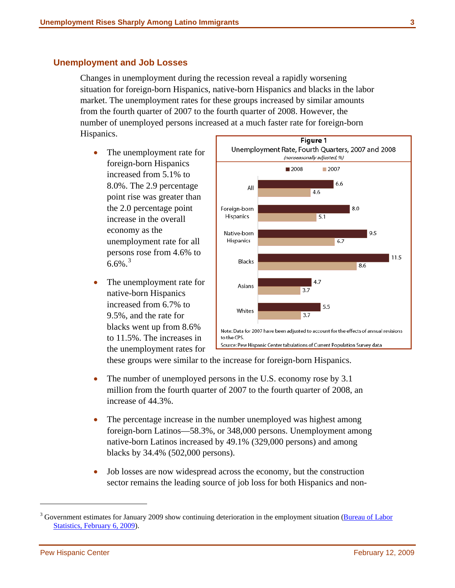### <span id="page-5-0"></span>**Unemployment and Job Losses**

Changes in unemployment during the recession reveal a rapidly worsening situation for foreign-born Hispanics, native-born Hispanics and blacks in the labor market. The unemployment rates for these groups increased by similar amounts from the fourth quarter of 2007 to the fourth quarter of 2008. However, the number of unemployed persons increased at a much faster rate for foreign-born Hispanics.

- The unemployment rate for foreign-born Hispanics increased from 5.1% to 8.0%. The 2.9 percentage point rise was greater than the 2.0 percentage point increase in the overall economy as the unemployment rate for all persons rose from 4.6% to  $6.6\%$ <sup>[3](#page-5-1)</sup>
- The unemployment rate for native-born Hispanics increased from 6.7% to 9.5%, and the rate for blacks went up from 8.6% to 11.5%. The increases in the unemployment rates for



these groups were similar to the increase for foreign-born Hispanics.

- The number of unemployed persons in the U.S. economy rose by 3.1 million from the fourth quarter of 2007 to the fourth quarter of 2008, an increase of 44.3%.
- The percentage increase in the number unemployed was highest among foreign-born Latinos—58.3%, or 348,000 persons. Unemployment among native-born Latinos increased by 49.1% (329,000 persons) and among blacks by 34.4% (502,000 persons).
- Job losses are now widespread across the economy, but the construction sector remains the leading source of job loss for both Hispanics and non-

l

<span id="page-5-1"></span><sup>&</sup>lt;sup>3</sup> Government estimates for January 2009 show continuing deterioration in the employment situation (**Bureau of Labor** [Statistics, February 6, 2009\)](http://www.bls.gov/news.release/pdf/empsit.pdf).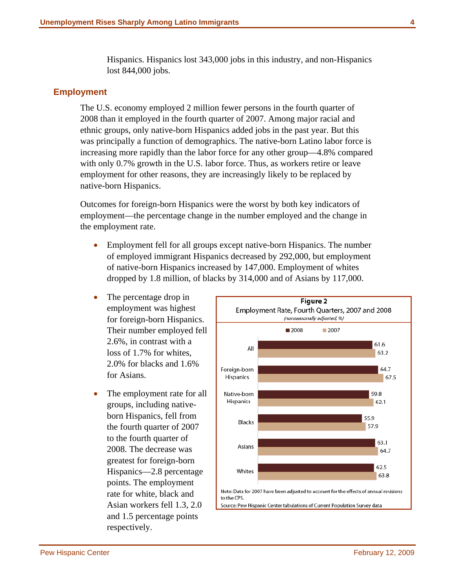Hispanics. Hispanics lost 343,000 jobs in this industry, and non-Hispanics lost 844,000 jobs.

### <span id="page-6-0"></span>**Employment**

The U.S. economy employed 2 million fewer persons in the fourth quarter of 2008 than it employed in the fourth quarter of 2007. Among major racial and ethnic groups, only native-born Hispanics added jobs in the past year. But this was principally a function of demographics. The native-born Latino labor force is increasing more rapidly than the labor force for any other group—4.8% compared with only 0.7% growth in the U.S. labor force. Thus, as workers retire or leave employment for other reasons, they are increasingly likely to be replaced by native-born Hispanics.

Outcomes for foreign-born Hispanics were the worst by both key indicators of employment—the percentage change in the number employed and the change in the employment rate.

- Employment fell for all groups except native-born Hispanics. The number of employed immigrant Hispanics decreased by 292,000, but employment of native-born Hispanics increased by 147,000. Employment of whites dropped by 1.8 million, of blacks by 314,000 and of Asians by 117,000.
- The percentage drop in employment was highest for foreign-born Hispanics. Their number employed fell 2.6%, in contrast with a loss of 1.7% for whites, 2.0% for blacks and 1.6% for Asians.
- The employment rate for all groups, including nativeborn Hispanics, fell from the fourth quarter of 2007 to the fourth quarter of 2008. The decrease was greatest for foreign-born Hispanics—2.8 percentage points. The employment rate for white, black and Asian workers fell 1.3, 2.0 and 1.5 percentage points respectively.

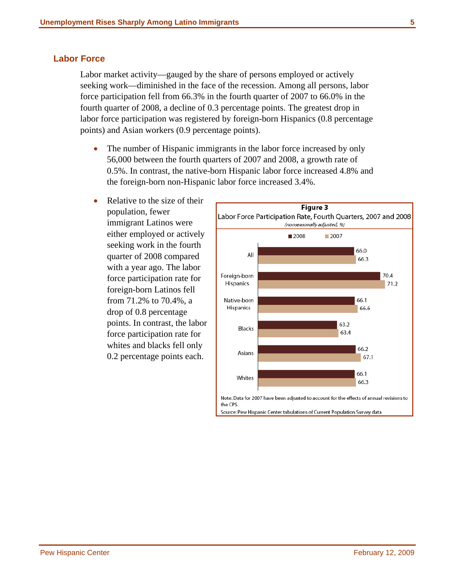# <span id="page-7-0"></span>**Labor Force**

Labor market activity—gauged by the share of persons employed or actively seeking work—diminished in the face of the recession. Among all persons, labor force participation fell from 66.3% in the fourth quarter of 2007 to 66.0% in the fourth quarter of 2008, a decline of 0.3 percentage points. The greatest drop in labor force participation was registered by foreign-born Hispanics (0.8 percentage points) and Asian workers (0.9 percentage points).

- The number of Hispanic immigrants in the labor force increased by only 56,000 between the fourth quarters of 2007 and 2008, a growth rate of 0.5%. In contrast, the native-born Hispanic labor force increased 4.8% and the foreign-born non-Hispanic labor force increased 3.4%.
- Relative to the size of their population, fewer immigrant Latinos were either employed or actively seeking work in the fourth quarter of 2008 compared with a year ago. The labor force participation rate for foreign-born Latinos fell from 71.2% to 70.4%, a drop of 0.8 percentage points. In contrast, the labor force participation rate for whites and blacks fell only 0.2 percentage points each.

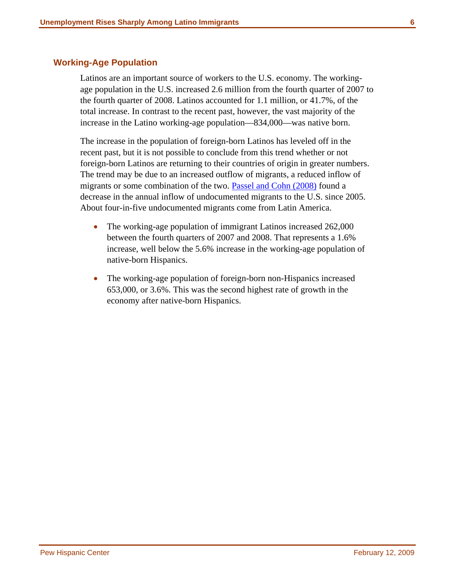## <span id="page-8-0"></span>**Working-Age Population**

Latinos are an important source of workers to the U.S. economy. The workingage population in the U.S. increased 2.6 million from the fourth quarter of 2007 to the fourth quarter of 2008. Latinos accounted for 1.1 million, or 41.7%, of the total increase. In contrast to the recent past, however, the vast majority of the increase in the Latino working-age population—834,000—was native born.

The increase in the population of foreign-born Latinos has leveled off in the recent past, but it is not possible to conclude from this trend whether or not foreign-born Latinos are returning to their countries of origin in greater numbers. The trend may be due to an increased outflow of migrants, a reduced inflow of migrants or some combination of the two. [Passel and Cohn \(2008\)](http://pewhispanic.org/reports/report.php?ReportID=94) found a decrease in the annual inflow of undocumented migrants to the U.S. since 2005. About four-in-five undocumented migrants come from Latin America.

- The working-age population of immigrant Latinos increased 262,000 between the fourth quarters of 2007 and 2008. That represents a 1.6% increase, well below the 5.6% increase in the working-age population of native-born Hispanics.
- The working-age population of foreign-born non-Hispanics increased 653,000, or 3.6%. This was the second highest rate of growth in the economy after native-born Hispanics.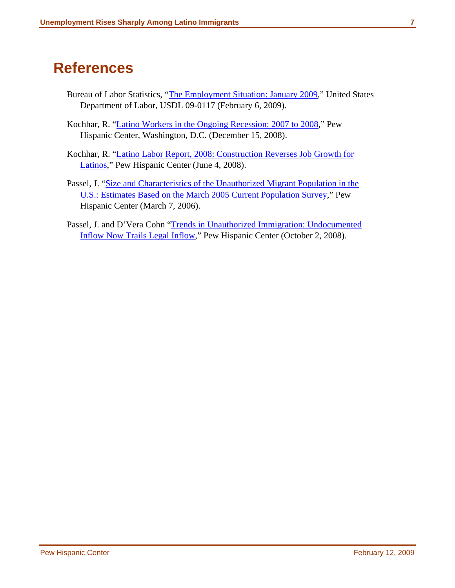# <span id="page-9-0"></span>**References**

- Bureau of Labor Statistics, "[The Employment Situation: January 2009,](http://www.bls.gov/news.release/pdf/empsit.pdf)" United States Department of Labor, USDL 09-0117 (February 6, 2009).
- Kochhar, R. "[Latino Workers in the Ongoing Recession: 2007 to 2008,](http://pewhispanic.org/reports/report.php?ReportID=99)" Pew Hispanic Center, Washington, D.C. (December 15, 2008).
- Kochhar, R. "[Latino Labor Report, 2008: Construction Reverses Job Growth for](http://pewhispanic.org/reports/report.php?ReportID=88)  [Latinos](http://pewhispanic.org/reports/report.php?ReportID=88)," Pew Hispanic Center (June 4, 2008).
- Passel, J. ["Size and Characteristics of the Unauthorized Migrant Population in the](http://pewhispanic.org/reports/report.php?ReportID=61)  [U.S.: Estimates Based on the March 2005 Current Population Survey](http://pewhispanic.org/reports/report.php?ReportID=61)," Pew Hispanic Center (March 7, 2006).
- Passel, J. and D'Vera Cohn ["Trends in Unauthorized Immigration: Undocumented](http://pewhispanic.org/reports/report.php?ReportID=94)  [Inflow Now Trails Legal Inflow,](http://pewhispanic.org/reports/report.php?ReportID=94)" Pew Hispanic Center (October 2, 2008).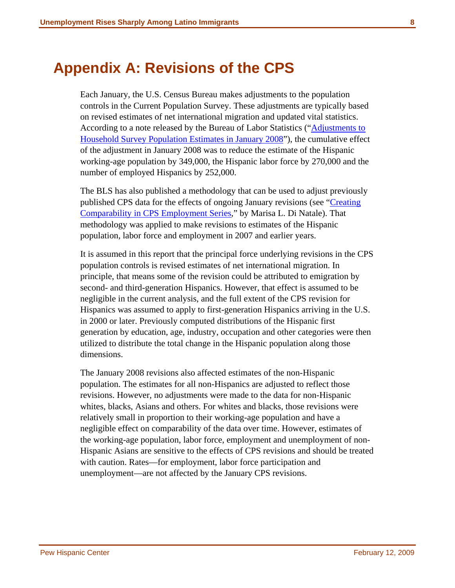# <span id="page-10-0"></span>**Appendix A: Revisions of the CPS**

Each January, the U.S. Census Bureau makes adjustments to the population controls in the Current Population Survey. These adjustments are typically based on revised estimates of net international migration and updated vital statistics. According to a note released by the Bureau of Labor Statistics ("[Adjustments to](http://www.bls.gov/cps/cps08adj.pdf)  [Household Survey Population Estimates in January 2008](http://www.bls.gov/cps/cps08adj.pdf)"), the cumulative effect of the adjustment in January 2008 was to reduce the estimate of the Hispanic working-age population by 349,000, the Hispanic labor force by 270,000 and the number of employed Hispanics by 252,000.

The BLS has also published a methodology that can be used to adjust previously published CPS data for the effects of ongoing January revisions (see ["Creating](http://www.bls.gov/cps/cpscomp.pdf)  [Comparability in CPS Employment Series](http://www.bls.gov/cps/cpscomp.pdf)," by Marisa L. Di Natale). That methodology was applied to make revisions to estimates of the Hispanic population, labor force and employment in 2007 and earlier years.

It is assumed in this report that the principal force underlying revisions in the CPS population controls is revised estimates of net international migration. In principle, that means some of the revision could be attributed to emigration by second- and third-generation Hispanics. However, that effect is assumed to be negligible in the current analysis, and the full extent of the CPS revision for Hispanics was assumed to apply to first-generation Hispanics arriving in the U.S. in 2000 or later. Previously computed distributions of the Hispanic first generation by education, age, industry, occupation and other categories were then utilized to distribute the total change in the Hispanic population along those dimensions.

The January 2008 revisions also affected estimates of the non-Hispanic population. The estimates for all non-Hispanics are adjusted to reflect those revisions. However, no adjustments were made to the data for non-Hispanic whites, blacks, Asians and others. For whites and blacks, those revisions were relatively small in proportion to their working-age population and have a negligible effect on comparability of the data over time. However, estimates of the working-age population, labor force, employment and unemployment of non-Hispanic Asians are sensitive to the effects of CPS revisions and should be treated with caution. Rates—for employment, labor force participation and unemployment—are not affected by the January CPS revisions.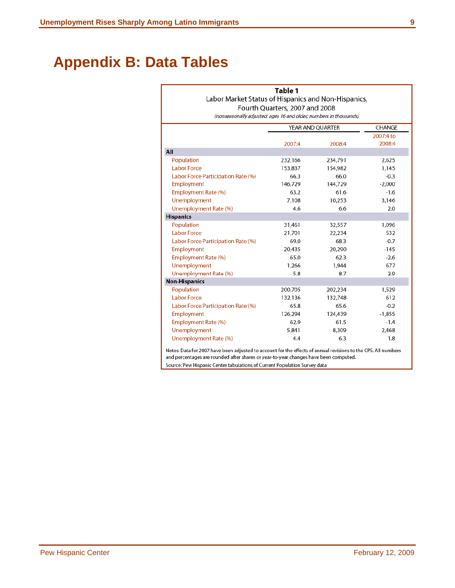# <span id="page-11-0"></span>**Appendix B: Data Tables**

#### Table 1

#### Labor Market Status of Hispanics and Non-Hispanics, Fourth Quarters, 2007 and 2008

(nonseasonally adjusted; ages 16 and older; numbers in thousands)

|                                    | YEAR AND QUARTER |         | CHANGE    |  |
|------------------------------------|------------------|---------|-----------|--|
|                                    |                  |         | 2007:4 to |  |
|                                    | 2007:4           | 2008:4  | 2008:4    |  |
| All                                |                  |         |           |  |
| Population                         | 232,166          | 234,791 | 2,625     |  |
| <b>Labor Force</b>                 | 153,837          | 154,982 | 1,145     |  |
| Labor Force Participation Rate (%) | 66.3             | 66.0    | $-0.3$    |  |
| Employment                         | 146,729          | 144,729 | $-2,000$  |  |
| Employment Rate (%)                | 63.2             | 61.6    | $-1.6$    |  |
| Unemployment                       | 7,108            | 10,253  | 3,146     |  |
| Unemployment Rate (%)              | 4.6              | 6.6     | 2.0       |  |
| <b>Hispanics</b>                   |                  |         |           |  |
| Population                         | 31,461           | 32,557  | 1,096     |  |
| <b>Labor Force</b>                 | 21,701           | 22,234  | 532       |  |
| Labor Force Participation Rate (%) | 69.0             | 68.3    | $-0.7$    |  |
| Employment                         | 20,435           | 20,290  | $-145$    |  |
| Employment Rate (%)                | 65.0             | 62.3    | $-2.6$    |  |
| Unemployment                       | 1.266            | 1.944   | 677       |  |
| Unemployment Rate (%)              | 5.8              | 8.7     | 2.9       |  |
| <b>Non-Hispanics</b>               |                  |         |           |  |
| Population                         | 200,705          | 202,234 | 1,529     |  |
| <b>Labor Force</b>                 | 132,136          | 132,748 | 612       |  |
| Labor Force Participation Rate (%) | 65.8             | 65.6    | $-0.2$    |  |
| Employment                         | 126,294          | 124,439 | $-1,855$  |  |
| Employment Rate (%)                | 62.9             | 61.5    | $-1.4$    |  |
| Unemployment                       | 5,841            | 8,309   | 2,468     |  |
| Unemployment Rate (%)              | 4.4              | 6.3     | 1.8       |  |

and percentages are rounded after shares or year-to-year changes have been computed. Source: Pew Hispanic Center tabulations of Current Population Survey data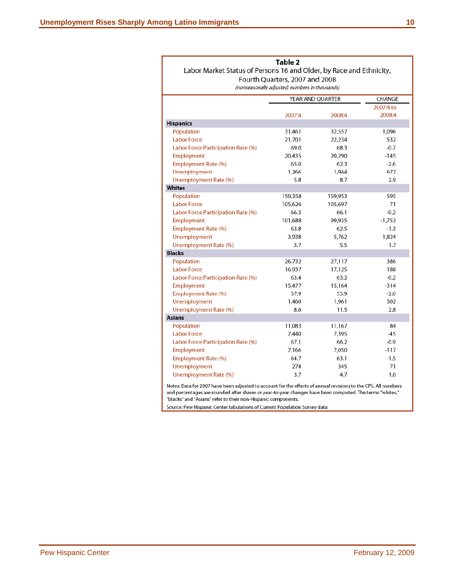| Labor Market Status of Persons 16 and Older, by Race and Ethnicity, | Table 2                                        |                  |           |
|---------------------------------------------------------------------|------------------------------------------------|------------------|-----------|
|                                                                     | Fourth Quarters, 2007 and 2008                 |                  |           |
|                                                                     | (nonseasonally adjusted; numbers in thousands) |                  |           |
|                                                                     |                                                | YEAR AND QUARTER | CHANGE    |
|                                                                     |                                                |                  | 2007:4 to |
|                                                                     | 2007:4                                         | 2008:4           | 2008:4    |
| <b>Hispanics</b>                                                    |                                                |                  |           |
| Population                                                          | 31,461                                         | 32,557           | 1,096     |
| <b>Labor Force</b>                                                  | 21,701                                         | 22,234           | 532       |
| Labor Force Participation Rate (%)                                  | 69.0                                           | 68.3             | $-0.7$    |
| Employment                                                          | 20,435                                         | 20,290           | $-145$    |
| Employment Rate (%)                                                 | 65.0                                           | 62.3             | $-2.6$    |
| Unemployment                                                        | 1,266                                          | 1,944            | 677       |
| Unemployment Rate (%)                                               | 5.8                                            | 8.7              | 2.9       |
| <b>Whites</b>                                                       |                                                |                  |           |
| Population                                                          | 159,358                                        | 159,953          | 595       |
| <b>Labor Force</b>                                                  | 105,626                                        | 105,697          | 71        |
| Labor Force Participation Rate (%)                                  | 66.3                                           | 66.1             | $-0.2$    |
| Employment                                                          | 101,688                                        | 99,935           | -1,753    |
| Employment Rate (%)                                                 | 63.8                                           | 62.5             | $-1.3$    |
| Unemployment                                                        | 3,938                                          | 5,762            | 1,824     |
| Unemployment Rate (%)                                               | 3.7                                            | 5.5              | 1.7       |
| <b>Blacks</b>                                                       |                                                |                  |           |
| Population                                                          | 26,732                                         | 27,117           | 386       |
| <b>Labor Force</b>                                                  | 16,937                                         | 17,125           | 188       |
| Labor Force Participation Rate (%)                                  | 63.4                                           | 63.2             | $-0.2$    |
| Employment                                                          | 15,477                                         | 15,164           | $-314$    |
| Employment Rate (%)                                                 | 57.9                                           | 55.9             | $-2.0$    |
| Unemployment                                                        | 1,460                                          | 1,961            | 502       |
| Unemployment Rate (%)                                               | 8.6                                            | 11.5             | 2.8       |
| <b>Asians</b>                                                       |                                                |                  |           |
| Population                                                          | 11,083                                         | 11,167           | 84        |
| <b>Labor Force</b>                                                  | 7,440                                          | 7,395            | -45       |
| Labor Force Participation Rate (%)                                  | 67.1                                           | 66.2             | $-0.9$    |
| Employment                                                          | 7,166                                          | 7,050            | $-117$    |
| Employment Rate (%)                                                 | 64.7                                           | 63.1             | $-1.5$    |
| Unemployment                                                        | 274                                            | 345              | 71        |
| Unemployment Rate (%)                                               | 3.7                                            | 4.7              | 1.0       |
|                                                                     |                                                |                  |           |

Notes: Data for 2007 have been adjusted to account for the effects of annual revisions to the CPS. All numbers and percentages are rounded after shares or year-to-year changes have been computed. The terms "whites," "blacks" and "Asians" refer to their non-Hispanic components.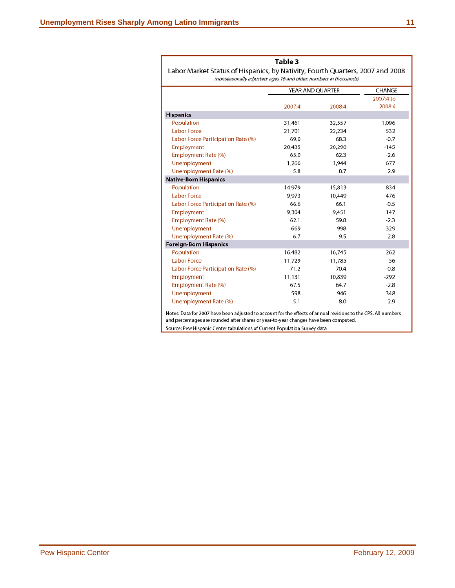Г

|                                                                                                                                                    | Table 3          |        |           |
|----------------------------------------------------------------------------------------------------------------------------------------------------|------------------|--------|-----------|
| Labor Market Status of Hispanics, by Nativity, Fourth Quarters, 2007 and 2008<br>(nonseasonally adjusted; ages 16 and older; numbers in thousands) |                  |        |           |
|                                                                                                                                                    | YEAR AND QUARTER |        | CHANGE    |
|                                                                                                                                                    |                  |        | 2007:4 to |
|                                                                                                                                                    | 2007:4           | 2008:4 | 2008:4    |
| <b>Hispanics</b>                                                                                                                                   |                  |        |           |
| Population                                                                                                                                         | 31,461           | 32,557 | 1,096     |
| <b>Labor Force</b>                                                                                                                                 | 21,701           | 22,234 | 532       |
| Labor Force Participation Rate (%)                                                                                                                 | 69.0             | 68.3   | $-0.7$    |
| Employment                                                                                                                                         | 20,435           | 20,290 | $-145$    |
| Employment Rate (%)                                                                                                                                | 65.0             | 62.3   | $-2.6$    |
| Unemployment                                                                                                                                       | 1,266            | 1,944  | 677       |
| Unemployment Rate (%)                                                                                                                              | 5.8              | 8.7    | 2.9       |
| <b>Native-Born Hispanics</b>                                                                                                                       |                  |        |           |
| Population                                                                                                                                         | 14,979           | 15,813 | 834       |
| <b>Labor Force</b>                                                                                                                                 | 9,973            | 10,449 | 476       |
| Labor Force Participation Rate (%)                                                                                                                 | 66.6             | 66.1   | $-0.5$    |
| Employment                                                                                                                                         | 9,304            | 9,451  | 147       |
| Employment Rate (%)                                                                                                                                | 62.1             | 59.8   | $-2.3$    |
| Unemployment                                                                                                                                       | 669              | 998    | 329       |
| Unemployment Rate (%)                                                                                                                              | 6.7              | 9.5    | 2.8       |
| <b>Foreign-Born Hispanics</b>                                                                                                                      |                  |        |           |
| Population                                                                                                                                         | 16,482           | 16,745 | 262       |
| <b>Labor Force</b>                                                                                                                                 | 11,729           | 11,785 | 56        |
| Labor Force Participation Rate (%)                                                                                                                 | 71.2             | 70.4   | $-0.8$    |
| Employment                                                                                                                                         | 11,131           | 10,839 | $-292$    |
| Employment Rate (%)                                                                                                                                | 67.5             | 64.7   | $-2.8$    |
| Unemployment                                                                                                                                       | 598              | 946    | 348       |
| Unemployment Rate (%)                                                                                                                              | 5.1              | 8.0    | 2.9       |

and percentages are rounded after shares or year-to-year changes have been computed. Source: Pew Hispanic Center tabulations of Current Population Survey data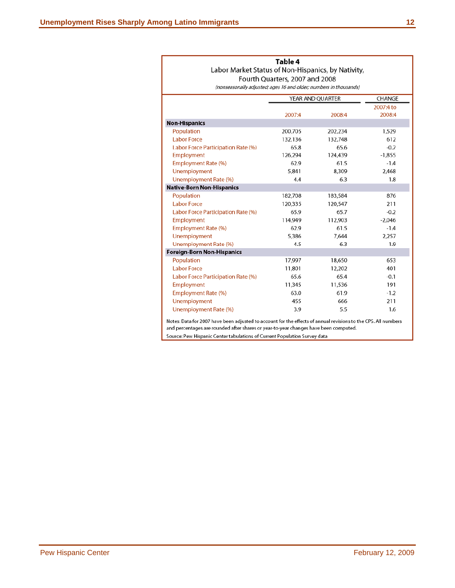| Table 4                                            |
|----------------------------------------------------|
| Labor Market Status of Non-Hispanics, by Nativity, |
| Fourth Quarters, 2007 and 2008                     |

(nonseasonally adjusted; ages 16 and older; numbers in thousands)

|                                    | YEAR AND QUARTER |         | CHANGE    |
|------------------------------------|------------------|---------|-----------|
|                                    |                  |         | 2007:4 to |
|                                    | 2007:4           | 2008:4  | 2008:4    |
| <b>Non-Hispanics</b>               |                  |         |           |
| Population                         | 200,705          | 202,234 | 1,529     |
| <b>Labor Force</b>                 | 132,136          | 132,748 | 612       |
| Labor Force Participation Rate (%) | 65.8             | 65.6    | $-0.2$    |
| Employment                         | 126,294          | 124,439 | $-1,855$  |
| Employment Rate (%)                | 62.9             | 61.5    | $-1.4$    |
| Unemployment                       | 5,841            | 8,309   | 2,468     |
| Unemployment Rate (%)              | 4.4              | 6.3     | 1.8       |
| <b>Native-Born Non-Hispanics</b>   |                  |         |           |
| Population                         | 182,708          | 183,584 | 876       |
| <b>Labor Force</b>                 | 120,335          | 120,547 | 211       |
| Labor Force Participation Rate (%) | 65.9             | 65.7    | $-0.2$    |
| Employment                         | 114,949          | 112,903 | $-2,046$  |
| Employment Rate (%)                | 62.9             | 61.5    | $-1.4$    |
| Unemployment                       | 5,386            | 7,644   | 2,257     |
| Unemployment Rate (%)              | 4.5              | 6.3     | 1.9       |
| <b>Foreign-Born Non-Hispanics</b>  |                  |         |           |
| Population                         | 17,997           | 18,650  | 653       |
| <b>Labor Force</b>                 | 11,801           | 12,202  | 401       |
| Labor Force Participation Rate (%) | 65.6             | 65.4    | $-0.1$    |
| Employment                         | 11,345           | 11,536  | 191       |
| Employment Rate (%)                | 63.0             | 61.9    | $-1.2$    |
| Unemployment                       | 455              | 666     | 211       |
| Unemployment Rate (%)              | 3.9              | 5.5     | 1.6       |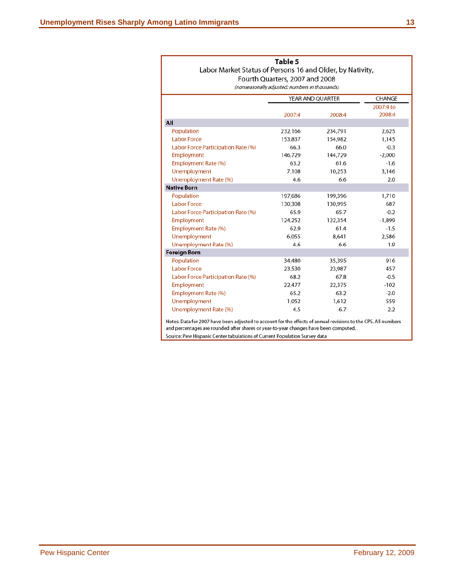| Labor Market Status of Persons 16 and Older, by Nativity, | Table 5<br>Fourth Quarters, 2007 and 2008<br>(nonseasonally adjusted; numbers in thousands) |                  |                     |
|-----------------------------------------------------------|---------------------------------------------------------------------------------------------|------------------|---------------------|
|                                                           |                                                                                             | YEAR AND QUARTER | CHANGE              |
|                                                           | 2007:4                                                                                      | 2008:4           | 2007:4 to<br>2008:4 |
| All                                                       |                                                                                             |                  |                     |
| Population                                                | 232,166                                                                                     | 234,791          | 2,625               |
| <b>Labor Force</b>                                        | 153,837                                                                                     | 154,982          | 1,145               |
| Labor Force Participation Rate (%)                        | 66.3                                                                                        | 66.0             | $-0.3$              |
| Employment                                                | 146,729                                                                                     | 144,729          | $-2,000$            |
| Employment Rate (%)                                       | 63.2                                                                                        | 61.6             | $-1.6$              |
| Unemployment                                              | 7,108                                                                                       | 10,253           | 3,146               |
| Unemployment Rate (%)                                     | 4.6                                                                                         | 6.6              | 2.0                 |
| <b>Native Born</b>                                        |                                                                                             |                  |                     |
| Population                                                | 197,686                                                                                     | 199,396          | 1,710               |
| <b>Labor Force</b>                                        | 130,308                                                                                     | 130,995          | 687                 |
| Labor Force Participation Rate (%)                        | 65.9                                                                                        | 65.7             | $-0.2$              |
| Employment                                                | 124,252                                                                                     | 122,354          | $-1,899$            |
| Employment Rate (%)                                       | 62.9                                                                                        | 61.4             | $-1.5$              |
| Unemployment                                              | 6,055                                                                                       | 8,641            | 2,586               |
| Unemployment Rate (%)                                     | 4.6                                                                                         | 6.6              | 1.9                 |
| <b>Foreign Born</b>                                       |                                                                                             |                  |                     |
| Population                                                | 34,480                                                                                      | 35,395           | 916                 |
| <b>Labor Force</b>                                        | 23,530                                                                                      | 23,987           | 457                 |
| Labor Force Participation Rate (%)                        | 68.2                                                                                        | 67.8             | $-0.5$              |
| Employment                                                | 22,477                                                                                      | 22,375           | $-102$              |
| Employment Rate (%)                                       | 65.2                                                                                        | 63.2             | $-2.0$              |
| Unemployment                                              | 1,052                                                                                       | 1,612            | 559                 |
| Unemployment Rate (%)                                     | 4.5                                                                                         | 6.7              | 2.2                 |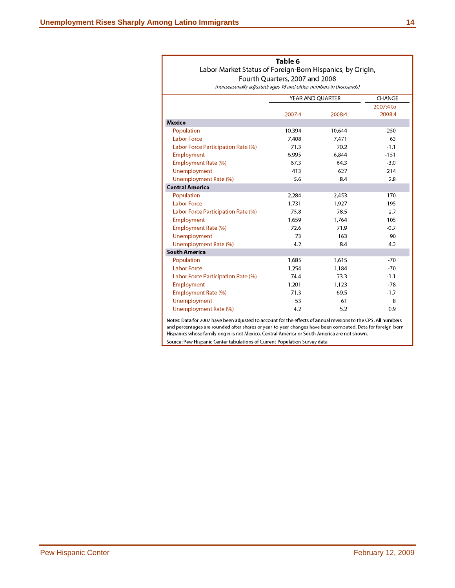| Table 6                                                   |
|-----------------------------------------------------------|
| Labor Market Status of Foreign-Born Hispanics, by Origin, |
| Fourth Quarters, 2007 and 2008                            |

(nonseasonally adjusted; ages 16 and older; numbers in thousands)

|                                    |        | YEAR AND QUARTER | CHANGE    |
|------------------------------------|--------|------------------|-----------|
|                                    |        |                  | 2007:4 to |
|                                    | 2007:4 | 2008:4           | 2008:4    |
| <b>Mexico</b>                      |        |                  |           |
| Population                         | 10,394 | 10,644           | 250       |
| <b>Labor Force</b>                 | 7,408  | 7,471            | 63        |
| Labor Force Participation Rate (%) | 71.3   | 70.2             | $-1.1$    |
| Employment                         | 6,995  | 6.844            | $-151$    |
| Employment Rate (%)                | 67.3   | 64.3             | $-3.0$    |
| Unemployment                       | 413    | 627              | 214       |
| Unemployment Rate (%)              | 5.6    | 8.4              | 2.8       |
| <b>Central America</b>             |        |                  |           |
| Population                         | 2,284  | 2,453            | 170       |
| <b>Labor Force</b>                 | 1,731  | 1,927            | 195       |
| Labor Force Participation Rate (%) | 75.8   | 78.5             | 2.7       |
| Employment                         | 1,659  | 1,764            | 105       |
| Employment Rate (%)                | 72.6   | 71.9             | $-0.7$    |
| Unemployment                       | 73     | 163              | 90        |
| Unemployment Rate (%)              | 4.2    | 8.4              | 4.2       |
| <b>South America</b>               |        |                  |           |
| Population                         | 1,685  | 1,615            | $-70$     |
| <b>Labor Force</b>                 | 1,254  | 1,184            | $-70$     |
| Labor Force Participation Rate (%) | 74.4   | 73.3             | $-1.1$    |
| Employment                         | 1,201  | 1,123            | $-78$     |
| Employment Rate (%)                | 71.3   | 69.5             | $-1.7$    |
| Unemployment                       | 53     | 61               | 8         |
| Unemployment Rate (%)              | 4.2    | 5.2              | 0.9       |
|                                    |        |                  |           |

Notes: Data for 2007 have been adjusted to account for the effects of annual revisions to the CPS. All numbers and percentages are rounded after shares or year-to-year changes have been computed. Data for foreign-born Hispanics whose family origin is not Mexico, Central America or South America are not shown.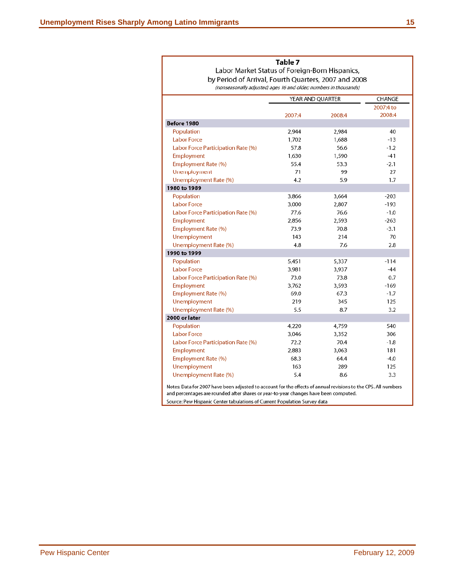## Table 7

Labor Market Status of Foreign-Born Hispanics, by Period of Arrival, Fourth Quarters, 2007 and 2008

(nonseasonally adjusted; ages 16 and older; numbers in thousands)

|                                                                                                                | YEAR AND QUARTER |        | CHANGE    |
|----------------------------------------------------------------------------------------------------------------|------------------|--------|-----------|
|                                                                                                                |                  |        | 2007:4 to |
|                                                                                                                | 2007:4           | 2008:4 | 2008:4    |
| Before 1980                                                                                                    |                  |        |           |
| Population                                                                                                     | 2,944            | 2,984  | 40        |
| <b>Labor Force</b>                                                                                             | 1,702            | 1,688  | $-13$     |
| Labor Force Participation Rate (%)                                                                             | 57.8             | 56.6   | $-1.2$    |
| Employment                                                                                                     | 1,630            | 1,590  | $-41$     |
| Employment Rate (%)                                                                                            | 55.4             | 53.3   | $-2.1$    |
| Unemployment                                                                                                   | 71               | 99     | 27        |
| Unemployment Rate (%)                                                                                          | 4.2              | 5.9    | 1.7       |
| 1980 to 1989                                                                                                   |                  |        |           |
| Population                                                                                                     | 3,866            | 3,664  | $-203$    |
| <b>Labor Force</b>                                                                                             | 3,000            | 2,807  | -193      |
| Labor Force Participation Rate (%)                                                                             | 77.6             | 76.6   | $-1.0$    |
| Employment                                                                                                     | 2,856            | 2,593  | $-263$    |
| Employment Rate (%)                                                                                            | 73.9             | 70.8   | $-3.1$    |
| Unemployment                                                                                                   | 143              | 214    | 70        |
| Unemployment Rate (%)                                                                                          | 4.8              | 7.6    | 2.8       |
| 1990 to 1999                                                                                                   |                  |        |           |
| Population                                                                                                     | 5,451            | 5,337  | $-114$    |
| <b>Labor Force</b>                                                                                             | 3,981            | 3,937  | $-44$     |
| Labor Force Participation Rate (%)                                                                             | 73.0             | 73.8   | 0.7       |
| Employment                                                                                                     | 3,762            | 3,593  | $-169$    |
| Employment Rate (%)                                                                                            | 69.0             | 67.3   | $-1.7$    |
| Unemployment                                                                                                   | 219              | 345    | 125       |
| Unemployment Rate (%)                                                                                          | 5.5              | 8.7    | 3.2       |
| 2000 or later                                                                                                  |                  |        |           |
| Population                                                                                                     | 4,220            | 4,759  | 540       |
| <b>Labor Force</b>                                                                                             | 3,046            | 3,352  | 306       |
| Labor Force Participation Rate (%)                                                                             | 72.2             | 70.4   | $-1.8$    |
| Employment                                                                                                     | 2,883            | 3,063  | 181       |
| Employment Rate (%)                                                                                            | 68.3             | 64.4   | $-4.0$    |
| Unemployment                                                                                                   | 163              | 289    | 125       |
| Unemployment Rate (%)                                                                                          | 5.4              | 8.6    | 3.3       |
| Notes: Data for 2007 have been adjusted to account for the effects of annual revisions to the CPS. All numbers |                  |        |           |

and percentages are rounded after shares or year-to-year changes have been computed. Source: Pew Hispanic Center tabulations of Current Population Survey data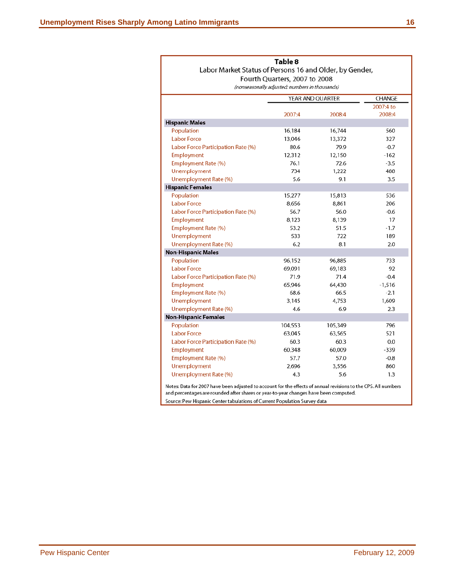|                                                                                                                                                                                                        | Table 8                                        |                  |           |
|--------------------------------------------------------------------------------------------------------------------------------------------------------------------------------------------------------|------------------------------------------------|------------------|-----------|
| Labor Market Status of Persons 16 and Older, by Gender,                                                                                                                                                |                                                |                  |           |
|                                                                                                                                                                                                        | Fourth Quarters, 2007 to 2008                  |                  |           |
|                                                                                                                                                                                                        | (nonseasonally adjusted; numbers in thousands) |                  |           |
|                                                                                                                                                                                                        |                                                | YEAR AND QUARTER | CHANGE    |
|                                                                                                                                                                                                        |                                                |                  | 2007:4 to |
|                                                                                                                                                                                                        | 2007:4                                         | 2008:4           | 2008:4    |
| <b>Hispanic Males</b>                                                                                                                                                                                  |                                                |                  |           |
| Population                                                                                                                                                                                             | 16,184                                         | 16,744           | 560       |
| <b>Labor Force</b>                                                                                                                                                                                     | 13,046                                         | 13,372           | 327       |
| Labor Force Participation Rate (%)                                                                                                                                                                     | 80.6                                           | 79.9             | $-0.7$    |
| Employment                                                                                                                                                                                             | 12,312                                         | 12,150           | $-162$    |
| Employment Rate (%)                                                                                                                                                                                    | 76.1                                           | 72.6             | $-3.5$    |
| Unemployment                                                                                                                                                                                           | 734                                            | 1,222            | 488       |
| Unemployment Rate (%)                                                                                                                                                                                  | 5.6                                            | 9.1              | 3.5       |
| <b>Hispanic Females</b>                                                                                                                                                                                |                                                |                  |           |
| Population                                                                                                                                                                                             | 15,277                                         | 15,813           | 536       |
| <b>Labor Force</b>                                                                                                                                                                                     | 8,656                                          | 8,861            | 206       |
| Labor Force Participation Rate (%)                                                                                                                                                                     | 56.7                                           | 56.0             | $-0.6$    |
| Employment                                                                                                                                                                                             | 8,123                                          | 8,139            | 17        |
| Employment Rate (%)                                                                                                                                                                                    | 53.2                                           | 51.5             | $-1.7$    |
| Unemployment                                                                                                                                                                                           | 533                                            | 722              | 189       |
| Unemployment Rate (%)                                                                                                                                                                                  | 6.2                                            | 8.1              | 2.0       |
| <b>Non-Hispanic Males</b>                                                                                                                                                                              |                                                |                  |           |
| Population                                                                                                                                                                                             | 96,152                                         | 96,885           | 733       |
| <b>Labor Force</b>                                                                                                                                                                                     | 69,091                                         | 69,183           | 92        |
| Labor Force Participation Rate (%)                                                                                                                                                                     | 71.9                                           | 71.4             | $-0.4$    |
| Employment                                                                                                                                                                                             | 65,946                                         | 64,430           | $-1,516$  |
| Employment Rate (%)                                                                                                                                                                                    | 68.6                                           | 66.5             | $-2.1$    |
| Unemployment                                                                                                                                                                                           | 3,145                                          | 4,753            | 1,609     |
| Unemployment Rate (%)                                                                                                                                                                                  | 4.6                                            | 6.9              | 2.3       |
| <b>Non-Hispanic Females</b>                                                                                                                                                                            |                                                |                  |           |
| Population                                                                                                                                                                                             | 104,553                                        | 105,349          | 796       |
| <b>Labor Force</b>                                                                                                                                                                                     | 63,045                                         | 63,565           | 521       |
| Labor Force Participation Rate (%)                                                                                                                                                                     | 60.3                                           | 60.3             | 0.0       |
| Employment                                                                                                                                                                                             | 60,348                                         | 60,009           | $-339$    |
| Employment Rate (%)                                                                                                                                                                                    | 57.7                                           | 57.0             | $-0.8$    |
| Unemployment                                                                                                                                                                                           | 2,696                                          | 3,556            | 860       |
| Unemployment Rate (%)                                                                                                                                                                                  | 4.3                                            | 5.6              | 1.3       |
| Notes: Data for 2007 have been adjusted to account for the effects of annual revisions to the CPS. All numbers<br>and percentages are rounded after shares or year-to-year changes have been computed. |                                                |                  |           |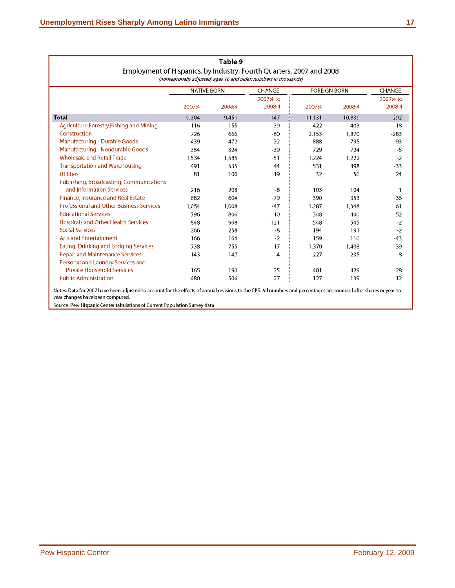|                                                                      | <b>NATIVE BORN</b> |        | CHANGE              | <b>FOREIGN BORN</b> |        | CHANGE              |
|----------------------------------------------------------------------|--------------------|--------|---------------------|---------------------|--------|---------------------|
|                                                                      | 2007:4             | 2008:4 | 2007:4 to<br>2008:4 | 2007:4              | 2008:4 | 2007:4 to<br>2008:4 |
| <b>Total</b>                                                         | 9,304              | 9,451  | 147                 | 11,131              | 10,839 | $-292$              |
| Agriculture, Forestry, Fishing and Mining                            | 116                | 155    | 39                  | 422                 | 403    | $-18$               |
| Construction                                                         | 726                | 666    | -60                 | 2,153               | 1,870  | $-283$              |
| Manufacturing - Durable Goods                                        | 439                | 472    | 32                  | 888                 | 795    | $-93$               |
| Manufacturing - Nondurable Goods                                     | 364                | 324    | $-39$               | 729                 | 724    | -5                  |
| <b>Wholesale and Retail Trade</b>                                    | 1.534              | 1,585  | 51                  | 1,224               | 1,222  | $-2$                |
| <b>Transportation and Warehousing</b>                                | 491                | 535    | 44                  | 531                 | 498    | $-33$               |
| <b>Utilities</b>                                                     | 81                 | 100    | 19                  | 32                  | 56     | 24                  |
| Publishing, Broadcasting, Communications<br>and Information Services | 216                | 208    | -8                  | 103                 | 104    |                     |
| <b>Finance, Insurance and Real Estate</b>                            | 682                | 604    | $-79$               | 390                 | 353    | -36                 |
| <b>Professional and Other Business Services</b>                      | 1,054              | 1,008  | -47                 | 1,287               | 1,348  | 61                  |
| <b>Educational Services</b>                                          | 796                | 806    | 10                  | 348                 | 400    | 52                  |
| <b>Hospitals and Other Health Services</b>                           | 848                | 968    | 121                 | 548                 | 545    | $-2$                |
| <b>Social Services</b>                                               | 266                | 258    | -8                  | 194                 | 191    | $-2$                |
| <b>Arts and Entertainment</b>                                        | 166                | 164    | $-2$                | 159                 | 116    | -43                 |
| Eating, Drinking and Lodging Services                                | 738                | 755    | 17                  | 1,370               | 1,408  | 39                  |
| <b>Repair and Maintenance Services</b>                               | 143                | 147    | 4                   | 227                 | 235    | 8                   |
| Personal and Laundry Services and                                    |                    |        |                     |                     |        |                     |
| <b>Private Household Services</b>                                    | 165                | 190    | 25                  | 401                 | 429    | 28                  |
| <b>Public Administration</b>                                         | 480                | 506    | 27                  | 127                 | 139    | 12                  |

# Table 9 Employment of Hispanics, by Industry, Fourth Quarters, 2007 and 2008

ata for 2007 have been adj<mark>u</mark> to account for the effects of annual revisions to the CPS. All numbers and percentages are rounded after shares or year-toyear changes have been computed.